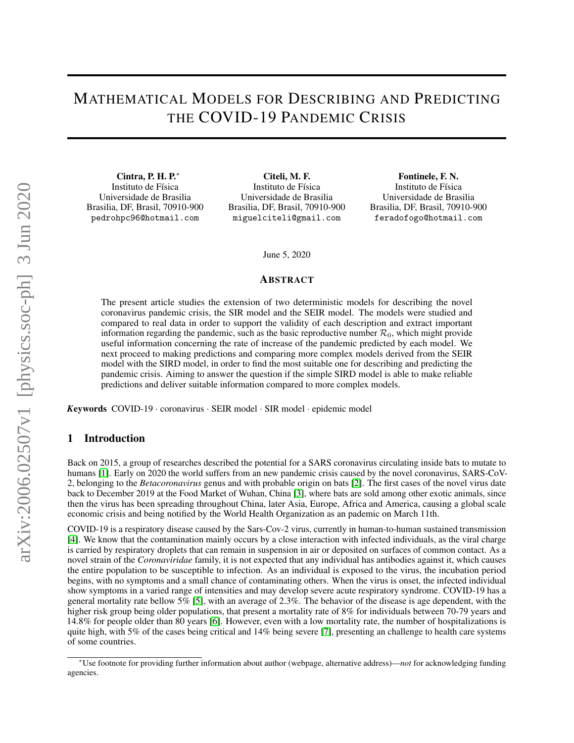# MATHEMATICAL MODELS FOR DESCRIBING AND PREDICTING THE COVID-19 PANDEMIC CRISIS

Cintra, P. H. P.<sup>∗</sup> Instituto de Física Universidade de Brasilia Brasilia, DF, Brasil, 70910-900 pedrohpc96@hotmail.com

Citeli, M. F. Instituto de Física Universidade de Brasilia Brasilia, DF, Brasil, 70910-900 miguelciteli@gmail.com

Fontinele, F. N. Instituto de Física Universidade de Brasilia Brasilia, DF, Brasil, 70910-900 feradofogo@hotmail.com

June 5, 2020

## ABSTRACT

The present article studies the extension of two deterministic models for describing the novel coronavirus pandemic crisis, the SIR model and the SEIR model. The models were studied and compared to real data in order to support the validity of each description and extract important information regarding the pandemic, such as the basic reproductive number  $\mathcal{R}_0$ , which might provide useful information concerning the rate of increase of the pandemic predicted by each model. We next proceed to making predictions and comparing more complex models derived from the SEIR model with the SIRD model, in order to find the most suitable one for describing and predicting the pandemic crisis. Aiming to answer the question if the simple SIRD model is able to make reliable predictions and deliver suitable information compared to more complex models.

*K*eywords COVID-19 · coronavirus · SEIR model · SIR model · epidemic model

## 1 Introduction

Back on 2015, a group of researches described the potential for a SARS coronavirus circulating inside bats to mutate to humans [\[1\]](#page-11-0). Early on 2020 the world suffers from an new pandemic crisis caused by the novel coronavirus, SARS-CoV-2, belonging to the *Betacoronavirus* genus and with probable origin on bats [\[2\]](#page-11-1). The first cases of the novel virus date back to December 2019 at the Food Market of Wuhan, China [\[3\]](#page-12-0), where bats are sold among other exotic animals, since then the virus has been spreading throughout China, later Asia, Europe, Africa and America, causing a global scale economic crisis and being notified by the World Health Organization as an pademic on March 11th.

COVID-19 is a respiratory disease caused by the Sars-Cov-2 virus, currently in human-to-human sustained transmission [\[4\]](#page-12-1). We know that the contamination mainly occurs by a close interaction with infected individuals, as the viral charge is carried by respiratory droplets that can remain in suspension in air or deposited on surfaces of common contact. As a novel strain of the *Coronaviridae* family, it is not expected that any individual has antibodies against it, which causes the entire population to be susceptible to infection. As an individual is exposed to the virus, the incubation period begins, with no symptoms and a small chance of contaminating others. When the virus is onset, the infected individual show symptoms in a varied range of intensities and may develop severe acute respiratory syndrome. COVID-19 has a general mortality rate bellow 5% [\[5\]](#page-12-2), with an average of 2.3%. The behavior of the disease is age dependent, with the higher risk group being older populations, that present a mortality rate of 8% for individuals between 70-79 years and 14.8% for people older than 80 years [\[6\]](#page-12-3). However, even with a low mortality rate, the number of hospitalizations is quite high, with 5% of the cases being critical and 14% being severe [\[7\]](#page-12-4), presenting an challenge to health care systems of some countries.

<sup>∗</sup>Use footnote for providing further information about author (webpage, alternative address)—*not* for acknowledging funding agencies.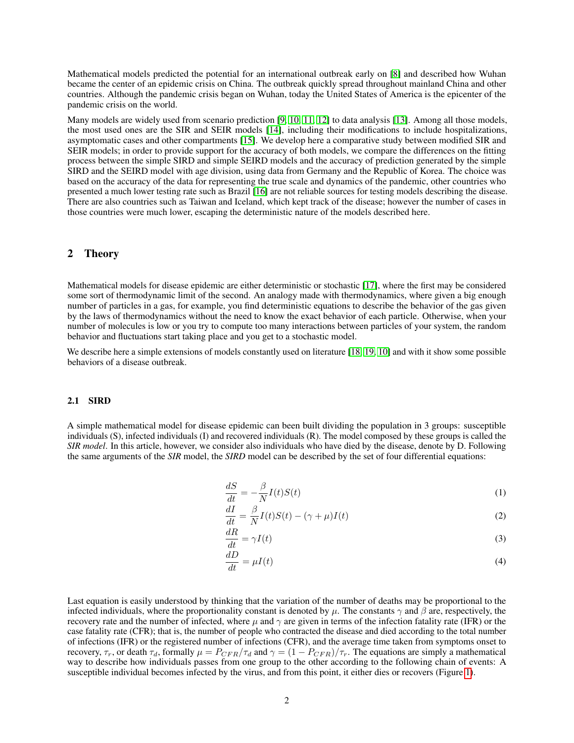Mathematical models predicted the potential for an international outbreak early on [\[8\]](#page-12-5) and described how Wuhan became the center of an epidemic crisis on China. The outbreak quickly spread throughout mainland China and other countries. Although the pandemic crisis began on Wuhan, today the United States of America is the epicenter of the pandemic crisis on the world.

Many models are widely used from scenario prediction [\[9,](#page-12-6) [10,](#page-12-7) [11,](#page-12-8) [12\]](#page-12-9) to data analysis [\[13\]](#page-12-10). Among all those models, the most used ones are the SIR and SEIR models [\[14\]](#page-12-11), including their modifications to include hospitalizations, asymptomatic cases and other compartments [\[15\]](#page-12-12). We develop here a comparative study between modified SIR and SEIR models; in order to provide support for the accuracy of both models, we compare the differences on the fitting process between the simple SIRD and simple SEIRD models and the accuracy of prediction generated by the simple SIRD and the SEIRD model with age division, using data from Germany and the Republic of Korea. The choice was based on the accuracy of the data for representing the true scale and dynamics of the pandemic, other countries who presented a much lower testing rate such as Brazil [\[16\]](#page-12-13) are not reliable sources for testing models describing the disease. There are also countries such as Taiwan and Iceland, which kept track of the disease; however the number of cases in those countries were much lower, escaping the deterministic nature of the models described here.

## 2 Theory

Mathematical models for disease epidemic are either deterministic or stochastic [\[17\]](#page-12-14), where the first may be considered some sort of thermodynamic limit of the second. An analogy made with thermodynamics, where given a big enough number of particles in a gas, for example, you find deterministic equations to describe the behavior of the gas given by the laws of thermodynamics without the need to know the exact behavior of each particle. Otherwise, when your number of molecules is low or you try to compute too many interactions between particles of your system, the random behavior and fluctuations start taking place and you get to a stochastic model.

We describe here a simple extensions of models constantly used on literature [\[18,](#page-12-15) [19,](#page-12-16) [10\]](#page-12-7) and with it show some possible behaviors of a disease outbreak.

#### 2.1 SIRD

A simple mathematical model for disease epidemic can been built dividing the population in 3 groups: susceptible individuals (S), infected individuals (I) and recovered individuals (R). The model composed by these groups is called the *SIR model*. In this article, however, we consider also individuals who have died by the disease, denote by D. Following the same arguments of the *SIR* model, the *SIRD* model can be described by the set of four differential equations:

<span id="page-1-1"></span><span id="page-1-0"></span>
$$
\frac{dS}{dt} = -\frac{\beta}{N}I(t)S(t) \tag{1}
$$

$$
\frac{dI}{dt} = \frac{\beta}{N}I(t)S(t) - (\gamma + \mu)I(t)
$$
\n(2)

<span id="page-1-2"></span>
$$
\frac{dR}{dt} = \gamma I(t) \tag{3}
$$

<span id="page-1-3"></span>
$$
\frac{dD}{dt} = \mu I(t) \tag{4}
$$

Last equation is easily understood by thinking that the variation of the number of deaths may be proportional to the infected individuals, where the proportionality constant is denoted by  $\mu$ . The constants  $\gamma$  and  $\beta$  are, respectively, the recovery rate and the number of infected, where  $\mu$  and  $\gamma$  are given in terms of the infection fatality rate (IFR) or the case fatality rate (CFR); that is, the number of people who contracted the disease and died according to the total number of infections (IFR) or the registered number of infections (CFR), and the average time taken from symptoms onset to recovery,  $\tau_r$ , or death  $\tau_d$ , formally  $\mu = P_{CFR}/\tau_d$  and  $\gamma = (1 - P_{CFR})/\tau_r$ . The equations are simply a mathematical way to describe how individuals passes from one group to the other according to the following chain of events: A susceptible individual becomes infected by the virus, and from this point, it either dies or recovers (Figure [1\)](#page-2-0).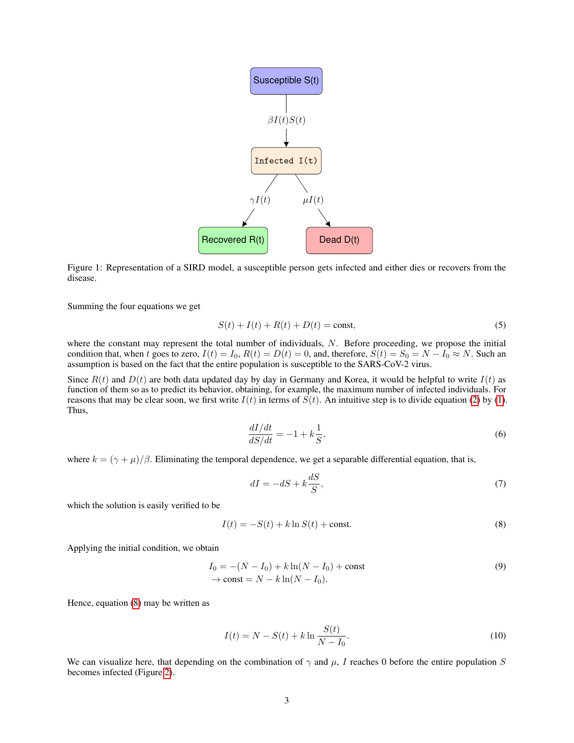

Figure 1: Representation of a SIRD model, a susceptible person gets infected and either dies or recovers from the disease.

Summing the four equations we get

<span id="page-2-0"></span>
$$
S(t) + I(t) + R(t) + D(t) = \text{const},
$$
\n(5)

where the constant may represent the total number of individuals, N. Before proceeding, we propose the initial condition that, when t goes to zero,  $I(t) = I_0$ ,  $R(t) = D(t) = 0$ , and, therefore,  $S(t) = S_0 = N - I_0 \approx N$ . Such an assumption is based on the fact that the entire population is susceptible to the SARS-CoV-2 virus.

Since  $R(t)$  and  $D(t)$  are both data updated day by day in Germany and Korea, it would be helpful to write  $I(t)$  as function of them so as to predict its behavior, obtaining, for example, the maximum number of infected individuals. For reasons that may be clear soon, we first write  $I(t)$  in terms of  $S(t)$ . An intuitive step is to divide equation [\(2\)](#page-1-0) by [\(1\)](#page-1-1). Thus,

$$
\frac{dI/dt}{dS/dt} = -1 + k\frac{1}{S},\tag{6}
$$

where  $k = (\gamma + \mu)/\beta$ . Eliminating the temporal dependence, we get a separable differential equation, that is,

<span id="page-2-1"></span>
$$
dI = -dS + k\frac{dS}{S},\tag{7}
$$

which the solution is easily verified to be

$$
I(t) = -S(t) + k \ln S(t) + \text{const.}
$$
\n(8)

Applying the initial condition, we obtain

$$
I_0 = -(N - I_0) + k \ln(N - I_0) + \text{const}
$$
  
\n
$$
\rightarrow \text{const} = N - k \ln(N - I_0).
$$
 (9)

<span id="page-2-2"></span>Hence, equation [\(8\)](#page-2-1) may be written as

$$
I(t) = N - S(t) + k \ln \frac{S(t)}{N - I_0}.
$$
\n(10)

We can visualize here, that depending on the combination of  $\gamma$  and  $\mu$ , I reaches 0 before the entire population S becomes infected (Figure [2\)](#page-3-0).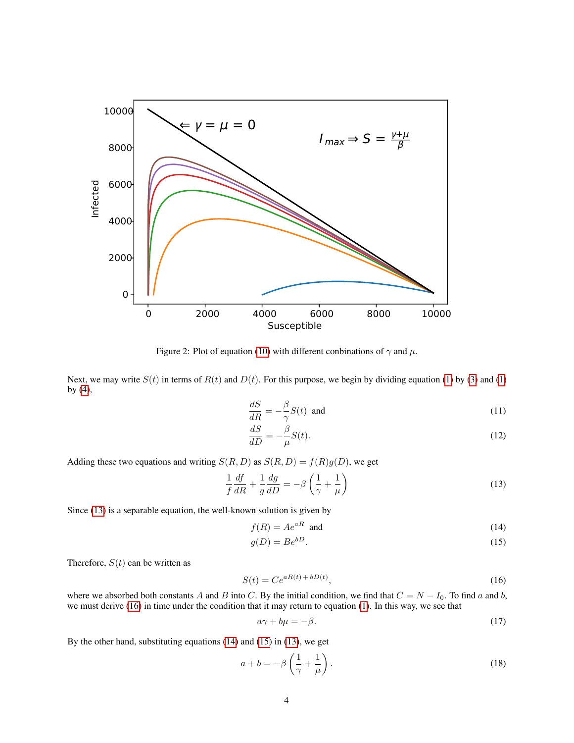

Figure 2: Plot of equation [\(10\)](#page-2-2) with different conbinations of  $\gamma$  and  $\mu$ .

Next, we may write  $S(t)$  in terms of  $R(t)$  and  $D(t)$ . For this purpose, we begin by dividing equation [\(1\)](#page-1-1) by [\(3\)](#page-1-2) and (1) by [\(4\)](#page-1-3),

<span id="page-3-0"></span>
$$
\frac{dS}{dR} = -\frac{\beta}{\gamma}S(t) \text{ and } \tag{11}
$$

$$
\frac{dS}{dD} = -\frac{\beta}{\mu}S(t). \tag{12}
$$

Adding these two equations and writing  $S(R, D)$  as  $S(R, D) = f(R)g(D)$ , we get

$$
\frac{1}{f}\frac{df}{dR} + \frac{1}{g}\frac{dg}{dD} = -\beta \left(\frac{1}{\gamma} + \frac{1}{\mu}\right)
$$
\n(13)

Since [\(13\)](#page-3-1) is a separable equation, the well-known solution is given by

<span id="page-3-4"></span><span id="page-3-3"></span><span id="page-3-1"></span>
$$
f(R) = Ae^{aR} \text{ and } (14)
$$

$$
g(D) = Be^{bD}.\tag{15}
$$

Therefore,  $S(t)$  can be written as

$$
S(t) = Ce^{aR(t) + bD(t)},\tag{16}
$$

where we absorbed both constants A and B into C. By the initial condition, we find that  $C = N - I_0$ . To find a and b, we must derive [\(16\)](#page-3-2) in time under the condition that it may return to equation [\(1\)](#page-1-1). In this way, we see that

<span id="page-3-2"></span>
$$
a\gamma + b\mu = -\beta. \tag{17}
$$

By the other hand, substituting equations [\(14\)](#page-3-3) and [\(15\)](#page-3-4) in [\(13\)](#page-3-1), we get

$$
a + b = -\beta \left(\frac{1}{\gamma} + \frac{1}{\mu}\right). \tag{18}
$$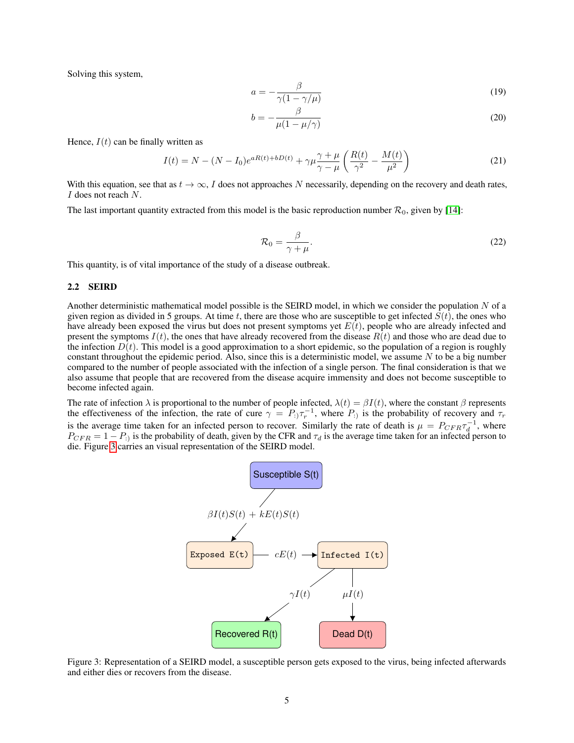Solving this system,

$$
a = -\frac{\beta}{\gamma(1 - \gamma/\mu)}\tag{19}
$$

$$
b = -\frac{\beta}{\mu(1 - \mu/\gamma)}
$$
 (20)

Hence,  $I(t)$  can be finally written as

$$
I(t) = N - (N - I_0)e^{aR(t) + bD(t)} + \gamma \mu \frac{\gamma + \mu}{\gamma - \mu} \left( \frac{R(t)}{\gamma^2} - \frac{M(t)}{\mu^2} \right)
$$
(21)

With this equation, see that as  $t \to \infty$ , I does not approaches N necessarily, depending on the recovery and death rates, I does not reach N.

The last important quantity extracted from this model is the basic reproduction number  $\mathcal{R}_0$ , given by [\[14\]](#page-12-11):

<span id="page-4-1"></span>
$$
\mathcal{R}_0 = \frac{\beta}{\gamma + \mu}.\tag{22}
$$

This quantity, is of vital importance of the study of a disease outbreak.

## 2.2 SEIRD

Another deterministic mathematical model possible is the SEIRD model, in which we consider the population  $N$  of a given region as divided in 5 groups. At time t, there are those who are susceptible to get infected  $S(t)$ , the ones who have already been exposed the virus but does not present symptoms yet  $E(t)$ , people who are already infected and present the symptoms  $I(t)$ , the ones that have already recovered from the disease  $R(t)$  and those who are dead due to the infection  $D(t)$ . This model is a good approximation to a short epidemic, so the population of a region is roughly constant throughout the epidemic period. Also, since this is a deterministic model, we assume  $N$  to be a big number compared to the number of people associated with the infection of a single person. The final consideration is that we also assume that people that are recovered from the disease acquire immensity and does not become susceptible to become infected again.

The rate of infection  $\lambda$  is proportional to the number of people infected,  $\lambda(t) = \beta I(t)$ , where the constant  $\beta$  represents the effectiveness of the infection, the rate of cure  $\gamma = P_1 \tau_r^{-1}$ , where  $P_1$  is the probability of recovery and  $\tau_r$ is the average time taken for an infected person to recover. Similarly the rate of death is  $\mu = P_{CFR}\tau_d^{-1}$ , where  $P_{CFR} = 1 - P_i$  is the probability of death, given by the CFR and  $\tau_d$  is the average time taken for an infected person to die. Figure [3](#page-4-0) carries an visual representation of the SEIRD model.

<span id="page-4-0"></span>

Figure 3: Representation of a SEIRD model, a susceptible person gets exposed to the virus, being infected afterwards and either dies or recovers from the disease.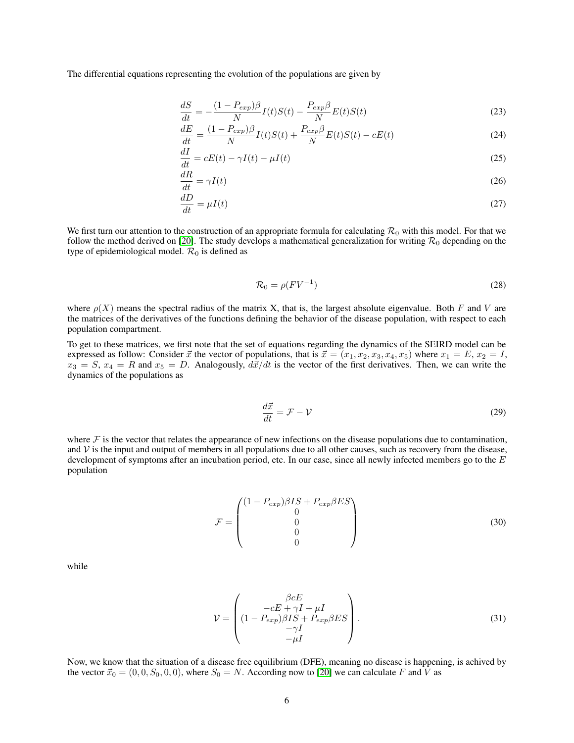The differential equations representing the evolution of the populations are given by

$$
\frac{dS}{dt} = -\frac{(1 - P_{exp})\beta}{N}I(t)S(t) - \frac{P_{exp}\beta}{N}E(t)S(t)
$$
\n(23)

$$
\frac{dE}{dt} = \frac{(1 - P_{exp})\beta}{N}I(t)S(t) + \frac{P_{exp}\beta}{N}E(t)S(t) - cE(t)
$$
\n(24)

$$
\frac{dI}{dt} = cE(t) - \gamma I(t) - \mu I(t)
$$
\n(25)

$$
\frac{dR}{dt} = \gamma I(t) \tag{26}
$$

$$
\frac{dD}{dt} = \mu I(t) \tag{27}
$$

We first turn our attention to the construction of an appropriate formula for calculating  $\mathcal{R}_0$  with this model. For that we follow the method derived on [\[20\]](#page-12-17). The study develops a mathematical generalization for writing  $\mathcal{R}_0$  depending on the type of epidemiological model.  $\mathcal{R}_0$  is defined as

<span id="page-5-1"></span><span id="page-5-0"></span>
$$
\mathcal{R}_0 = \rho (F V^{-1}) \tag{28}
$$

where  $\rho(X)$  means the spectral radius of the matrix X, that is, the largest absolute eigenvalue. Both F and V are the matrices of the derivatives of the functions defining the behavior of the disease population, with respect to each population compartment.

To get to these matrices, we first note that the set of equations regarding the dynamics of the SEIRD model can be expressed as follow: Consider  $\vec{x}$  the vector of populations, that is  $\vec{x} = (x_1, x_2, x_3, x_4, x_5)$  where  $x_1 = E, x_2 = I$ ,  $x_3 = S$ ,  $x_4 = R$  and  $x_5 = D$ . Analogously,  $d\vec{x}/dt$  is the vector of the first derivatives. Then, we can write the dynamics of the populations as

$$
\frac{d\vec{x}}{dt} = \mathcal{F} - \mathcal{V} \tag{29}
$$

where  $\mathcal F$  is the vector that relates the appearance of new infections on the disease populations due to contamination, and  $V$  is the input and output of members in all populations due to all other causes, such as recovery from the disease, development of symptoms after an incubation period, etc. In our case, since all newly infected members go to the  $E$ population

$$
\mathcal{F} = \begin{pmatrix} (1 - P_{exp})\beta IS + P_{exp}\beta ES \\ 0 \\ 0 \\ 0 \\ 0 \end{pmatrix}
$$
 (30)

while

$$
\mathcal{V} = \begin{pmatrix} \beta cE \\ -cE + \gamma I + \mu I \\ (1 - P_{exp})\beta IS + P_{exp}\beta ES \\ -\gamma I \\ -\mu I \end{pmatrix}.
$$
 (31)

Now, we know that the situation of a disease free equilibrium (DFE), meaning no disease is happening, is achived by the vector  $\vec{x}_0 = (0, 0, S_0, 0, 0)$ , where  $S_0 = N$ . According now to [\[20\]](#page-12-17) we can calculate F and V as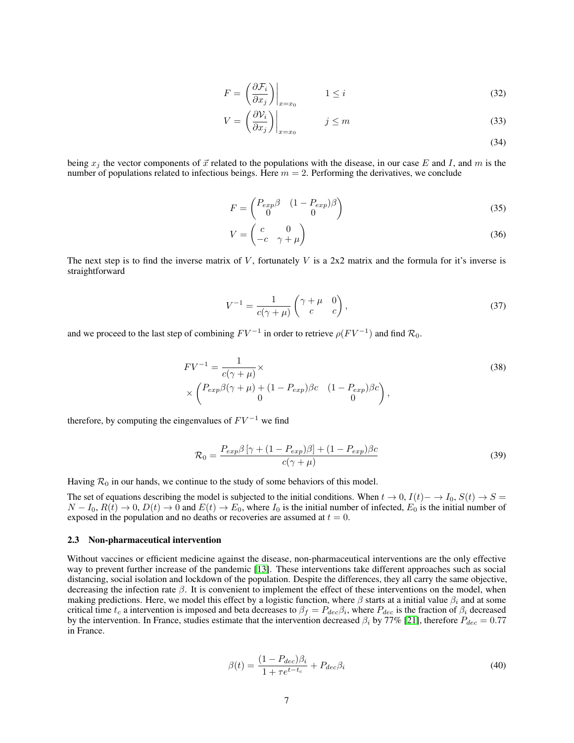$$
F = \left(\frac{\partial \mathcal{F}_i}{\partial x_j}\right)\Big|_{x=x_0} \qquad 1 \le i \tag{32}
$$

$$
V = \left(\frac{\partial V_i}{\partial x_j}\right)\Big|_{x=x_0} \qquad j \le m \tag{33}
$$

(34)

being  $x_i$  the vector components of  $\vec{x}$  related to the populations with the disease, in our case E and I, and m is the number of populations related to infectious beings. Here  $m = 2$ . Performing the derivatives, we conclude

$$
F = \begin{pmatrix} P_{exp}\beta & (1 - P_{exp})\beta \\ 0 & 0 \end{pmatrix} \tag{35}
$$

$$
V = \begin{pmatrix} c & 0 \\ -c & \gamma + \mu \end{pmatrix} \tag{36}
$$

The next step is to find the inverse matrix of  $V$ , fortunately  $V$  is a 2x2 matrix and the formula for it's inverse is straightforward

$$
V^{-1} = \frac{1}{c(\gamma + \mu)} \begin{pmatrix} \gamma + \mu & 0\\ c & c \end{pmatrix},\tag{37}
$$

and we proceed to the last step of combining  $FV^{-1}$  in order to retrieve  $\rho(FV^{-1})$  and find  $\mathcal{R}_0$ .

$$
FV^{-1} = \frac{1}{c(\gamma + \mu)} \times \left( \frac{P_{exp}\beta(\gamma + \mu) + (1 - P_{exp})\beta c}{0} \right), \tag{38}
$$

therefore, by computing the eingenvalues of  $FV^{-1}$  we find

<span id="page-6-0"></span>
$$
\mathcal{R}_0 = \frac{P_{exp}\beta \left[\gamma + (1 - P_{exp})\beta\right] + (1 - P_{exp})\beta c}{c(\gamma + \mu)}\tag{39}
$$

Having  $\mathcal{R}_0$  in our hands, we continue to the study of some behaviors of this model.

The set of equations describing the model is subjected to the initial conditions. When  $t \to 0$ ,  $I(t)$   $\to I_0$ ,  $S(t)$   $\to S =$  $N - I_0$ ,  $R(t) \to 0$ ,  $D(t) \to 0$  and  $E(t) \to E_0$ , where  $I_0$  is the initial number of infected,  $E_0$  is the initial number of exposed in the population and no deaths or recoveries are assumed at  $t = 0$ .

#### 2.3 Non-pharmaceutical intervention

Without vaccines or efficient medicine against the disease, non-pharmaceutical interventions are the only effective way to prevent further increase of the pandemic [\[13\]](#page-12-10). These interventions take different approaches such as social distancing, social isolation and lockdown of the population. Despite the differences, they all carry the same objective, decreasing the infection rate  $\beta$ . It is convenient to implement the effect of these interventions on the model, when making predictions. Here, we model this effect by a logistic function, where  $\beta$  starts at a initial value  $\beta_i$  and at some critical time  $t_c$  a intervention is imposed and beta decreases to  $\beta_f = P_{dec}\beta_i$ , where  $P_{dec}$  is the fraction of  $\beta_i$  decreased by the intervention. In France, studies estimate that the intervention decreased  $\beta_i$  by 77% [\[21\]](#page-12-18), therefore  $P_{dec} = 0.77$ in France.

$$
\beta(t) = \frac{(1 - P_{dec})\beta_i}{1 + \tau e^{t - t_c}} + P_{dec}\beta_i
$$
\n(40)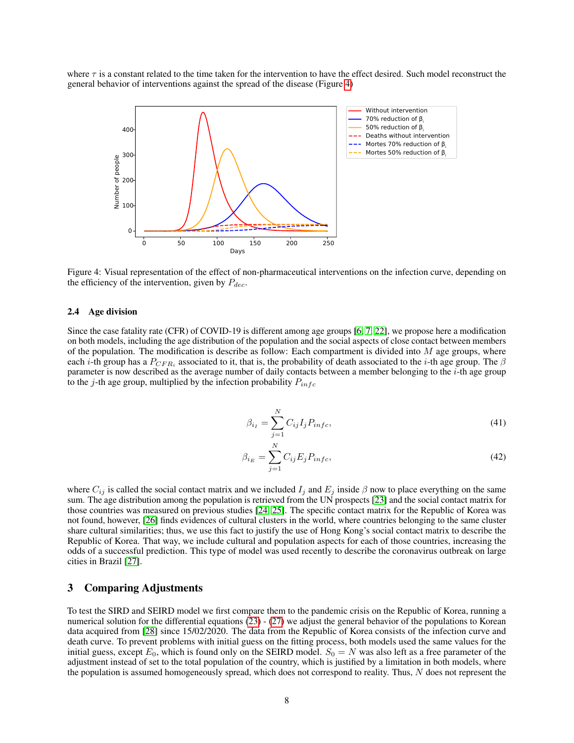where  $\tau$  is a constant related to the time taken for the intervention to have the effect desired. Such model reconstruct the general behavior of interventions against the spread of the disease (Figure [4\)](#page-7-0)



Figure 4: Visual representation of the effect of non-pharmaceutical interventions on the infection curve, depending on the efficiency of the intervention, given by  $P_{dec}$ .

## 2.4 Age division

Since the case fatality rate (CFR) of COVID-19 is different among age groups [\[6,](#page-12-3) [7,](#page-12-4) [22\]](#page-12-19), we propose here a modification on both models, including the age distribution of the population and the social aspects of close contact between members of the population. The modification is describe as follow: Each compartment is divided into  $M$  age groups, where each *i*-th group has a  $P_{CFR_i}$  associated to it, that is, the probability of death associated to the *i*-th age group. The  $\beta$ parameter is now described as the average number of daily contacts between a member belonging to the  $i$ -th age group to the j-th age group, multiplied by the infection probability  $P_{inf}$ 

<span id="page-7-0"></span>
$$
\beta_{i_I} = \sum_{j=1}^{N} C_{ij} I_j P_{info},\tag{41}
$$

$$
\beta_{i_E} = \sum_{j=1}^{N} C_{ij} E_j P_{infc},\tag{42}
$$

where  $C_{ij}$  is called the social contact matrix and we included  $I_j$  and  $E_j$  inside  $\beta$  now to place everything on the same sum. The age distribution among the population is retrieved from the UN prospects [\[23\]](#page-12-20) and the social contact matrix for those countries was measured on previous studies [\[24,](#page-12-21) [25\]](#page-12-22). The specific contact matrix for the Republic of Korea was not found, however, [\[26\]](#page-13-0) finds evidences of cultural clusters in the world, where countries belonging to the same cluster share cultural similarities; thus, we use this fact to justify the use of Hong Kong's social contact matrix to describe the Republic of Korea. That way, we include cultural and population aspects for each of those countries, increasing the odds of a successful prediction. This type of model was used recently to describe the coronavirus outbreak on large cities in Brazil [\[27\]](#page-13-1).

## 3 Comparing Adjustments

To test the SIRD and SEIRD model we first compare them to the pandemic crisis on the Republic of Korea, running a numerical solution for the differential equations [\(23\)](#page-5-0) - [\(27\)](#page-5-1) we adjust the general behavior of the populations to Korean data acquired from [\[28\]](#page-13-2) since 15/02/2020. The data from the Republic of Korea consists of the infection curve and death curve. To prevent problems with initial guess on the fitting process, both models used the same values for the initial guess, except  $E_0$ , which is found only on the SEIRD model.  $S_0 = N$  was also left as a free parameter of the adjustment instead of set to the total population of the country, which is justified by a limitation in both models, where the population is assumed homogeneously spread, which does not correspond to reality. Thus, N does not represent the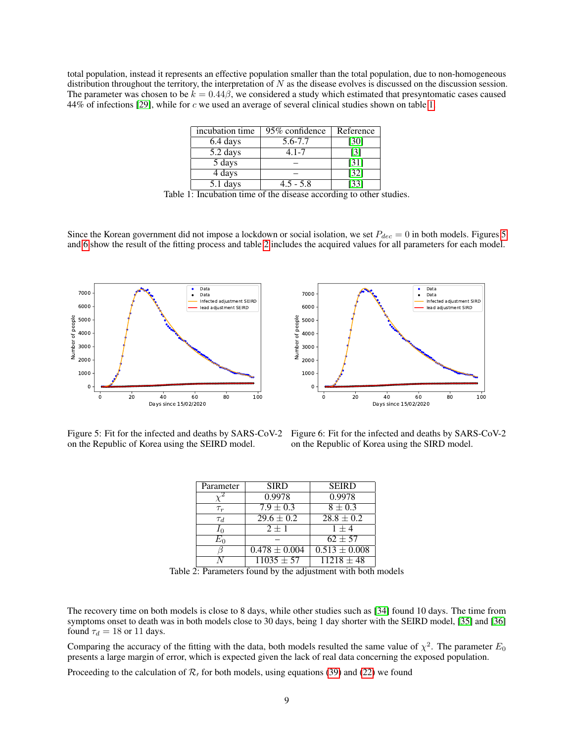total population, instead it represents an effective population smaller than the total population, due to non-homogeneous distribution throughout the territory, the interpretation of  $N$  as the disease evolves is discussed on the discussion session. The parameter was chosen to be  $k = 0.44\beta$ , we considered a study which estimated that presyntomatic cases caused 44% of infections [\[29\]](#page-13-3), while for c we used an average of several clinical studies shown on table [1.](#page-8-0)

| incubation time | 95% confidence | Reference |
|-----------------|----------------|-----------|
| 6.4 days        | 5.6-7.7        | [30]      |
| 5.2 days        | $4.1 - 7$      | [3]       |
| 5 days          |                | [31]      |
| 4 days          |                | [32]      |
| 5.1 days        | $4.5 - 5.8$    |           |

Table 1: Incubation time of the disease according to other studies.

Since the Korean government did not impose a lockdown or social isolation, we set  $P_{dec} = 0$  in both models. Figures [5](#page-8-1) and [6](#page-8-2) show the result of the fitting process and table [2](#page-8-3) includes the acquired values for all parameters for each model.



<span id="page-8-0"></span>

<span id="page-8-1"></span>Figure 5: Fit for the infected and deaths by SARS-CoV-2 on the Republic of Korea using the SEIRD model.

<span id="page-8-3"></span><span id="page-8-2"></span>Figure 6: Fit for the infected and deaths by SARS-CoV-2 on the Republic of Korea using the SIRD model.

| Parameter | <b>SIRD</b>       | <b>SEIRD</b>          |
|-----------|-------------------|-----------------------|
|           | 0.9978            | 0.9978                |
| $\tau_r$  | $7.9 \pm 0.3$     | $8 \pm 0.3$           |
| $\tau_d$  | $29.6 \pm 0.2$    | $28.8 \pm 0.2$        |
|           | $2 + 1$           | $1 + 4$               |
| Ł'n       |                   | $62 + 57$             |
|           | $0.478 \pm 0.004$ | $0.513 \pm 0.008$     |
|           | $11035 + 57$      | $\sqrt{11218} \pm 48$ |

Table 2: Parameters found by the adjustment with both models

The recovery time on both models is close to 8 days, while other studies such as [\[34\]](#page-13-8) found 10 days. The time from symptoms onset to death was in both models close to 30 days, being 1 day shorter with the SEIRD model, [\[35\]](#page-13-9) and [\[36\]](#page-13-10) found  $\tau_d = 18$  or 11 days.

Comparing the accuracy of the fitting with the data, both models resulted the same value of  $\chi^2$ . The parameter  $E_0$ presents a large margin of error, which is expected given the lack of real data concerning the exposed population.

Proceeding to the calculation of  $\mathcal{R}_l$  for both models, using equations [\(39\)](#page-6-0) and [\(22\)](#page-4-1) we found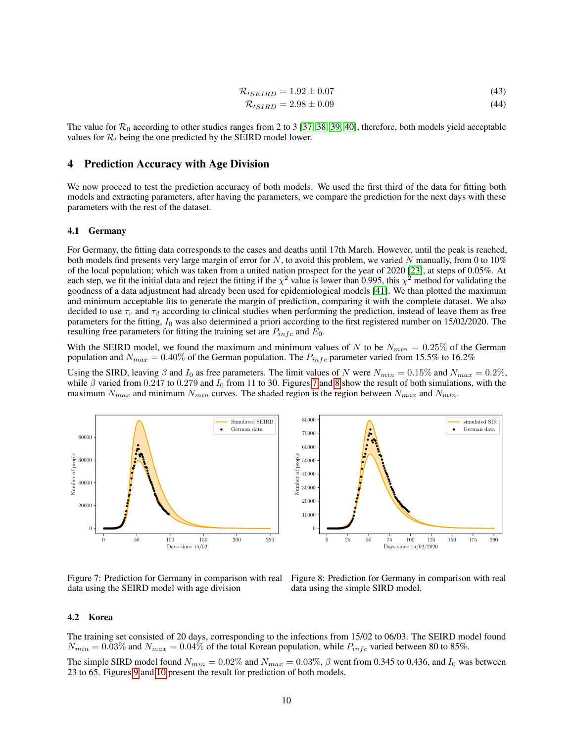$$
\mathcal{R}_{\prime SEIRD} = 1.92 \pm 0.07\tag{43}
$$

$$
\mathcal{R}_{\prime SIRD} = 2.98 \pm 0.09\tag{44}
$$

The value for  $\mathcal{R}_0$  according to other studies ranges from 2 to 3 [\[37,](#page-13-11) [38,](#page-13-12) [39,](#page-13-13) [40\]](#page-13-14), therefore, both models yield acceptable values for  $\mathcal{R}_l$  being the one predicted by the SEIRD model lower.

# 4 Prediction Accuracy with Age Division

We now proceed to test the prediction accuracy of both models. We used the first third of the data for fitting both models and extracting parameters, after having the parameters, we compare the prediction for the next days with these parameters with the rest of the dataset.

## 4.1 Germany

For Germany, the fitting data corresponds to the cases and deaths until 17th March. However, until the peak is reached, both models find presents very large margin of error for  $N$ , to avoid this problem, we varied  $N$  manually, from 0 to 10% of the local population; which was taken from a united nation prospect for the year of 2020 [\[23\]](#page-12-20), at steps of 0.05%. At each step, we fit the initial data and reject the fitting if the  $\chi^2$  value is lower than 0.995, this  $\chi^2$  method for validating the goodness of a data adjustment had already been used for epidemiological models [\[41\]](#page-13-15). We than plotted the maximum and minimum acceptable fits to generate the margin of prediction, comparing it with the complete dataset. We also decided to use  $\tau_r$  and  $\tau_d$  according to clinical studies when performing the prediction, instead of leave them as free parameters for the fitting,  $I_0$  was also determined a priori according to the first registered number on  $15/02/2020$ . The resulting free parameters for fitting the training set are  $P_{infc}$  and  $E_0$ .

With the SEIRD model, we found the maximum and minimum values of N to be  $N_{min} = 0.25\%$  of the German population and  $N_{max} = 0.40\%$  of the German population. The  $P_{info}$  parameter varied from 15.5% to 16.2%

Using the SIRD, leaving  $\beta$  and  $I_0$  as free parameters. The limit values of N were  $N_{min} = 0.15\%$  and  $N_{max} = 0.2\%$ , while β varied from 0.247 to 0.279 and  $I_0$  from 11 to 30. Figures [7](#page-9-0) and [8](#page-9-1) show the result of both simulations, with the maximum  $N_{max}$  and minimum  $N_{min}$  curves. The shaded region is the region between  $N_{max}$  and  $N_{min}$ .



data using the SEIRD model with age division

23 to 65. Figures [9](#page-10-0) and [10](#page-10-1) present the result for prediction of both models.

<span id="page-9-1"></span><span id="page-9-0"></span>Figure 7: Prediction for Germany in comparison with real Figure 8: Prediction for Germany in comparison with real data using the simple SIRD model.

#### 4.2 Korea

The training set consisted of 20 days, corresponding to the infections from 15/02 to 06/03. The SEIRD model found  $N_{min} = 0.03\%$  and  $N_{max} = 0.04\%$  of the total Korean population, while  $P_{inf,c}$  varied between 80 to 85%. The simple SIRD model found  $N_{min} = 0.02\%$  and  $N_{max} = 0.03\%$ ,  $\beta$  went from 0.345 to 0.436, and  $I_0$  was between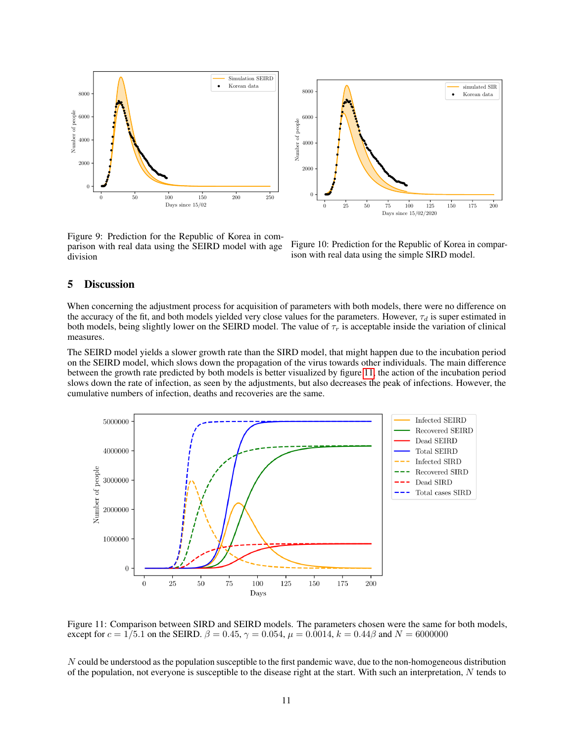

simulated SIR 8000 Korean data 6000 Number of people Number of people 4000 2000  $\Omega$ 0 25 50 75 100 125 150 175 200 Days since 15/02/2020

<span id="page-10-0"></span>Figure 9: Prediction for the Republic of Korea in comparison with real data using the SEIRD model with age division

<span id="page-10-2"></span><span id="page-10-1"></span>Figure 10: Prediction for the Republic of Korea in comparison with real data using the simple SIRD model.

## 5 Discussion

When concerning the adjustment process for acquisition of parameters with both models, there were no difference on the accuracy of the fit, and both models yielded very close values for the parameters. However,  $\tau_d$  is super estimated in both models, being slightly lower on the SEIRD model. The value of  $\tau_r$  is acceptable inside the variation of clinical measures.

The SEIRD model yields a slower growth rate than the SIRD model, that might happen due to the incubation period on the SEIRD model, which slows down the propagation of the virus towards other individuals. The main difference between the growth rate predicted by both models is better visualized by figure [11,](#page-10-2) the action of the incubation period slows down the rate of infection, as seen by the adjustments, but also decreases the peak of infections. However, the cumulative numbers of infection, deaths and recoveries are the same.



Figure 11: Comparison between SIRD and SEIRD models. The parameters chosen were the same for both models, except for  $c = 1/5.1$  on the SEIRD.  $\beta = 0.45$ ,  $\gamma = 0.054$ ,  $\mu = 0.0014$ ,  $k = 0.44\beta$  and  $N = 6000000$ 

N could be understood as the population susceptible to the first pandemic wave, due to the non-homogeneous distribution of the population, not everyone is susceptible to the disease right at the start. With such an interpretation,  $N$  tends to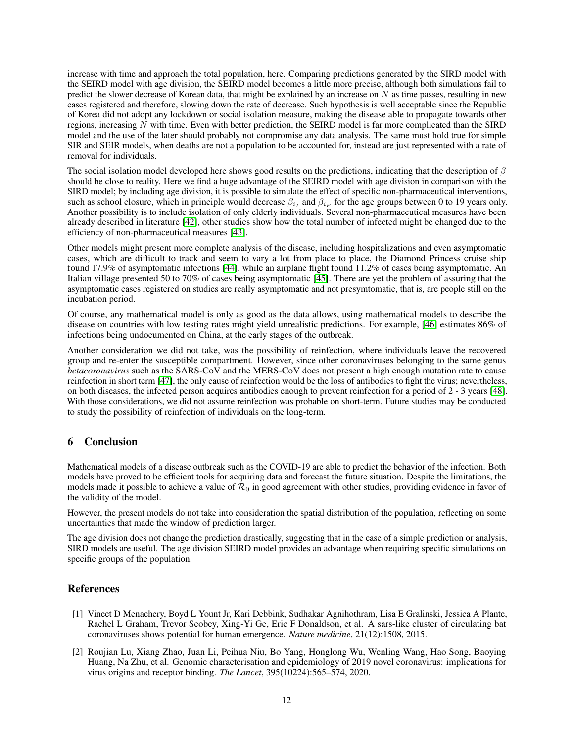increase with time and approach the total population, here. Comparing predictions generated by the SIRD model with the SEIRD model with age division, the SEIRD model becomes a little more precise, although both simulations fail to predict the slower decrease of Korean data, that might be explained by an increase on  $N$  as time passes, resulting in new cases registered and therefore, slowing down the rate of decrease. Such hypothesis is well acceptable since the Republic of Korea did not adopt any lockdown or social isolation measure, making the disease able to propagate towards other regions, increasing N with time. Even with better prediction, the SEIRD model is far more complicated than the SIRD model and the use of the later should probably not compromise any data analysis. The same must hold true for simple SIR and SEIR models, when deaths are not a population to be accounted for, instead are just represented with a rate of removal for individuals.

The social isolation model developed here shows good results on the predictions, indicating that the description of  $\beta$ should be close to reality. Here we find a huge advantage of the SEIRD model with age division in comparison with the SIRD model; by including age division, it is possible to simulate the effect of specific non-pharmaceutical interventions, such as school closure, which in principle would decrease  $\beta_{i_I}$  and  $\beta_{i_E}$  for the age groups between 0 to 19 years only. Another possibility is to include isolation of only elderly individuals. Several non-pharmaceutical measures have been already described in literature [\[42\]](#page-13-16), other studies show how the total number of infected might be changed due to the efficiency of non-pharmaceutical measures [\[43\]](#page-13-17).

Other models might present more complete analysis of the disease, including hospitalizations and even asymptomatic cases, which are difficult to track and seem to vary a lot from place to place, the Diamond Princess cruise ship found 17.9% of asymptomatic infections [\[44\]](#page-13-18), while an airplane flight found 11.2% of cases being asymptomatic. An Italian village presented 50 to 70% of cases being asymptomatic [\[45\]](#page-13-19). There are yet the problem of assuring that the asymptomatic cases registered on studies are really asymptomatic and not presymtomatic, that is, are people still on the incubation period.

Of course, any mathematical model is only as good as the data allows, using mathematical models to describe the disease on countries with low testing rates might yield unrealistic predictions. For example, [\[46\]](#page-14-0) estimates 86% of infections being undocumented on China, at the early stages of the outbreak.

Another consideration we did not take, was the possibility of reinfection, where individuals leave the recovered group and re-enter the susceptible compartment. However, since other coronaviruses belonging to the same genus *betacoronavirus* such as the SARS-CoV and the MERS-CoV does not present a high enough mutation rate to cause reinfection in short term [\[47\]](#page-14-1), the only cause of reinfection would be the loss of antibodies to fight the virus; nevertheless, on both diseases, the infected person acquires antibodies enough to prevent reinfection for a period of 2 - 3 years [\[48\]](#page-14-2). With those considerations, we did not assume reinfection was probable on short-term. Future studies may be conducted to study the possibility of reinfection of individuals on the long-term.

# 6 Conclusion

Mathematical models of a disease outbreak such as the COVID-19 are able to predict the behavior of the infection. Both models have proved to be efficient tools for acquiring data and forecast the future situation. Despite the limitations, the models made it possible to achieve a value of  $\mathcal{R}_0$  in good agreement with other studies, providing evidence in favor of the validity of the model.

However, the present models do not take into consideration the spatial distribution of the population, reflecting on some uncertainties that made the window of prediction larger.

The age division does not change the prediction drastically, suggesting that in the case of a simple prediction or analysis, SIRD models are useful. The age division SEIRD model provides an advantage when requiring specific simulations on specific groups of the population.

# References

- <span id="page-11-0"></span>[1] Vineet D Menachery, Boyd L Yount Jr, Kari Debbink, Sudhakar Agnihothram, Lisa E Gralinski, Jessica A Plante, Rachel L Graham, Trevor Scobey, Xing-Yi Ge, Eric F Donaldson, et al. A sars-like cluster of circulating bat coronaviruses shows potential for human emergence. *Nature medicine*, 21(12):1508, 2015.
- <span id="page-11-1"></span>[2] Roujian Lu, Xiang Zhao, Juan Li, Peihua Niu, Bo Yang, Honglong Wu, Wenling Wang, Hao Song, Baoying Huang, Na Zhu, et al. Genomic characterisation and epidemiology of 2019 novel coronavirus: implications for virus origins and receptor binding. *The Lancet*, 395(10224):565–574, 2020.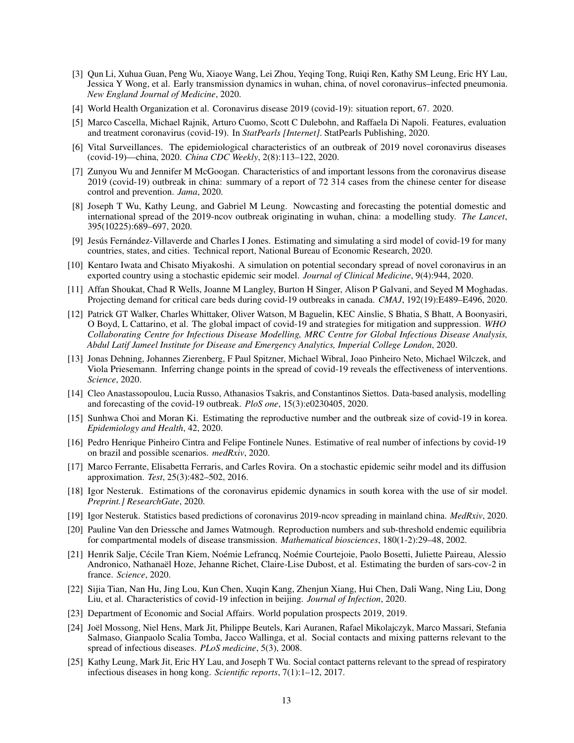- <span id="page-12-0"></span>[3] Qun Li, Xuhua Guan, Peng Wu, Xiaoye Wang, Lei Zhou, Yeqing Tong, Ruiqi Ren, Kathy SM Leung, Eric HY Lau, Jessica Y Wong, et al. Early transmission dynamics in wuhan, china, of novel coronavirus–infected pneumonia. *New England Journal of Medicine*, 2020.
- <span id="page-12-1"></span>[4] World Health Organization et al. Coronavirus disease 2019 (covid-19): situation report, 67. 2020.
- <span id="page-12-2"></span>[5] Marco Cascella, Michael Rajnik, Arturo Cuomo, Scott C Dulebohn, and Raffaela Di Napoli. Features, evaluation and treatment coronavirus (covid-19). In *StatPearls [Internet]*. StatPearls Publishing, 2020.
- <span id="page-12-3"></span>[6] Vital Surveillances. The epidemiological characteristics of an outbreak of 2019 novel coronavirus diseases (covid-19)—china, 2020. *China CDC Weekly*, 2(8):113–122, 2020.
- <span id="page-12-4"></span>[7] Zunyou Wu and Jennifer M McGoogan. Characteristics of and important lessons from the coronavirus disease 2019 (covid-19) outbreak in china: summary of a report of 72 314 cases from the chinese center for disease control and prevention. *Jama*, 2020.
- <span id="page-12-5"></span>[8] Joseph T Wu, Kathy Leung, and Gabriel M Leung. Nowcasting and forecasting the potential domestic and international spread of the 2019-ncov outbreak originating in wuhan, china: a modelling study. *The Lancet*, 395(10225):689–697, 2020.
- <span id="page-12-6"></span>[9] Jesús Fernández-Villaverde and Charles I Jones. Estimating and simulating a sird model of covid-19 for many countries, states, and cities. Technical report, National Bureau of Economic Research, 2020.
- <span id="page-12-7"></span>[10] Kentaro Iwata and Chisato Miyakoshi. A simulation on potential secondary spread of novel coronavirus in an exported country using a stochastic epidemic seir model. *Journal of Clinical Medicine*, 9(4):944, 2020.
- <span id="page-12-8"></span>[11] Affan Shoukat, Chad R Wells, Joanne M Langley, Burton H Singer, Alison P Galvani, and Seyed M Moghadas. Projecting demand for critical care beds during covid-19 outbreaks in canada. *CMAJ*, 192(19):E489–E496, 2020.
- <span id="page-12-9"></span>[12] Patrick GT Walker, Charles Whittaker, Oliver Watson, M Baguelin, KEC Ainslie, S Bhatia, S Bhatt, A Boonyasiri, O Boyd, L Cattarino, et al. The global impact of covid-19 and strategies for mitigation and suppression. *WHO Collaborating Centre for Infectious Disease Modelling, MRC Centre for Global Infectious Disease Analysis, Abdul Latif Jameel Institute for Disease and Emergency Analytics, Imperial College London*, 2020.
- <span id="page-12-10"></span>[13] Jonas Dehning, Johannes Zierenberg, F Paul Spitzner, Michael Wibral, Joao Pinheiro Neto, Michael Wilczek, and Viola Priesemann. Inferring change points in the spread of covid-19 reveals the effectiveness of interventions. *Science*, 2020.
- <span id="page-12-11"></span>[14] Cleo Anastassopoulou, Lucia Russo, Athanasios Tsakris, and Constantinos Siettos. Data-based analysis, modelling and forecasting of the covid-19 outbreak. *PloS one*, 15(3):e0230405, 2020.
- <span id="page-12-12"></span>[15] Sunhwa Choi and Moran Ki. Estimating the reproductive number and the outbreak size of covid-19 in korea. *Epidemiology and Health*, 42, 2020.
- <span id="page-12-13"></span>[16] Pedro Henrique Pinheiro Cintra and Felipe Fontinele Nunes. Estimative of real number of infections by covid-19 on brazil and possible scenarios. *medRxiv*, 2020.
- <span id="page-12-14"></span>[17] Marco Ferrante, Elisabetta Ferraris, and Carles Rovira. On a stochastic epidemic seihr model and its diffusion approximation. *Test*, 25(3):482–502, 2016.
- <span id="page-12-15"></span>[18] Igor Nesteruk. Estimations of the coronavirus epidemic dynamics in south korea with the use of sir model. *Preprint.] ResearchGate*, 2020.
- <span id="page-12-16"></span>[19] Igor Nesteruk. Statistics based predictions of coronavirus 2019-ncov spreading in mainland china. *MedRxiv*, 2020.
- <span id="page-12-17"></span>[20] Pauline Van den Driessche and James Watmough. Reproduction numbers and sub-threshold endemic equilibria for compartmental models of disease transmission. *Mathematical biosciences*, 180(1-2):29–48, 2002.
- <span id="page-12-18"></span>[21] Henrik Salje, Cécile Tran Kiem, Noémie Lefrancq, Noémie Courtejoie, Paolo Bosetti, Juliette Paireau, Alessio Andronico, Nathanaël Hoze, Jehanne Richet, Claire-Lise Dubost, et al. Estimating the burden of sars-cov-2 in france. *Science*, 2020.
- <span id="page-12-19"></span>[22] Sijia Tian, Nan Hu, Jing Lou, Kun Chen, Xuqin Kang, Zhenjun Xiang, Hui Chen, Dali Wang, Ning Liu, Dong Liu, et al. Characteristics of covid-19 infection in beijing. *Journal of Infection*, 2020.
- <span id="page-12-20"></span>[23] Department of Economic and Social Affairs. World population prospects 2019, 2019.
- <span id="page-12-21"></span>[24] Joël Mossong, Niel Hens, Mark Jit, Philippe Beutels, Kari Auranen, Rafael Mikolajczyk, Marco Massari, Stefania Salmaso, Gianpaolo Scalia Tomba, Jacco Wallinga, et al. Social contacts and mixing patterns relevant to the spread of infectious diseases. *PLoS medicine*, 5(3), 2008.
- <span id="page-12-22"></span>[25] Kathy Leung, Mark Jit, Eric HY Lau, and Joseph T Wu. Social contact patterns relevant to the spread of respiratory infectious diseases in hong kong. *Scientific reports*, 7(1):1–12, 2017.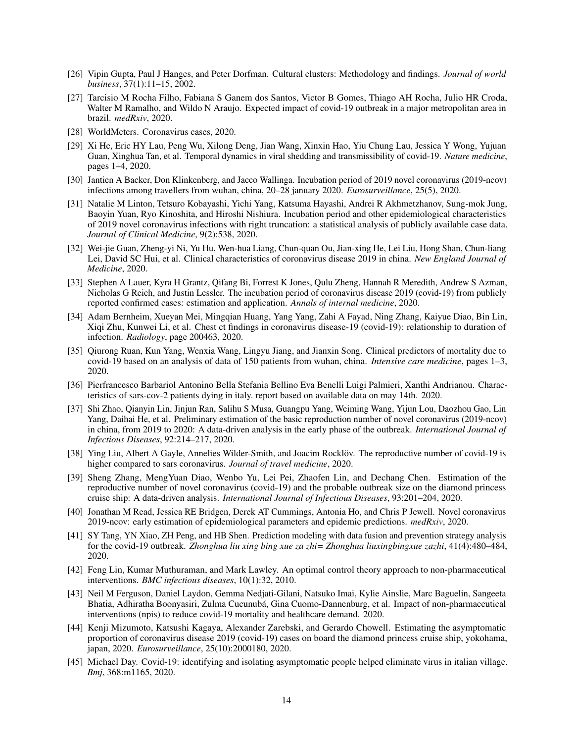- <span id="page-13-0"></span>[26] Vipin Gupta, Paul J Hanges, and Peter Dorfman. Cultural clusters: Methodology and findings. *Journal of world business*, 37(1):11–15, 2002.
- <span id="page-13-1"></span>[27] Tarcisio M Rocha Filho, Fabiana S Ganem dos Santos, Victor B Gomes, Thiago AH Rocha, Julio HR Croda, Walter M Ramalho, and Wildo N Araujo. Expected impact of covid-19 outbreak in a major metropolitan area in brazil. *medRxiv*, 2020.
- <span id="page-13-2"></span>[28] WorldMeters. Coronavirus cases, 2020.
- <span id="page-13-3"></span>[29] Xi He, Eric HY Lau, Peng Wu, Xilong Deng, Jian Wang, Xinxin Hao, Yiu Chung Lau, Jessica Y Wong, Yujuan Guan, Xinghua Tan, et al. Temporal dynamics in viral shedding and transmissibility of covid-19. *Nature medicine*, pages 1–4, 2020.
- <span id="page-13-4"></span>[30] Jantien A Backer, Don Klinkenberg, and Jacco Wallinga. Incubation period of 2019 novel coronavirus (2019-ncov) infections among travellers from wuhan, china, 20–28 january 2020. *Eurosurveillance*, 25(5), 2020.
- <span id="page-13-5"></span>[31] Natalie M Linton, Tetsuro Kobayashi, Yichi Yang, Katsuma Hayashi, Andrei R Akhmetzhanov, Sung-mok Jung, Baoyin Yuan, Ryo Kinoshita, and Hiroshi Nishiura. Incubation period and other epidemiological characteristics of 2019 novel coronavirus infections with right truncation: a statistical analysis of publicly available case data. *Journal of Clinical Medicine*, 9(2):538, 2020.
- <span id="page-13-6"></span>[32] Wei-jie Guan, Zheng-yi Ni, Yu Hu, Wen-hua Liang, Chun-quan Ou, Jian-xing He, Lei Liu, Hong Shan, Chun-liang Lei, David SC Hui, et al. Clinical characteristics of coronavirus disease 2019 in china. *New England Journal of Medicine*, 2020.
- <span id="page-13-7"></span>[33] Stephen A Lauer, Kyra H Grantz, Qifang Bi, Forrest K Jones, Qulu Zheng, Hannah R Meredith, Andrew S Azman, Nicholas G Reich, and Justin Lessler. The incubation period of coronavirus disease 2019 (covid-19) from publicly reported confirmed cases: estimation and application. *Annals of internal medicine*, 2020.
- <span id="page-13-8"></span>[34] Adam Bernheim, Xueyan Mei, Mingqian Huang, Yang Yang, Zahi A Fayad, Ning Zhang, Kaiyue Diao, Bin Lin, Xiqi Zhu, Kunwei Li, et al. Chest ct findings in coronavirus disease-19 (covid-19): relationship to duration of infection. *Radiology*, page 200463, 2020.
- <span id="page-13-9"></span>[35] Qiurong Ruan, Kun Yang, Wenxia Wang, Lingyu Jiang, and Jianxin Song. Clinical predictors of mortality due to covid-19 based on an analysis of data of 150 patients from wuhan, china. *Intensive care medicine*, pages 1–3, 2020.
- <span id="page-13-10"></span>[36] Pierfrancesco Barbariol Antonino Bella Stefania Bellino Eva Benelli Luigi Palmieri, Xanthi Andrianou. Characteristics of sars-cov-2 patients dying in italy. report based on available data on may 14th. 2020.
- <span id="page-13-11"></span>[37] Shi Zhao, Qianyin Lin, Jinjun Ran, Salihu S Musa, Guangpu Yang, Weiming Wang, Yijun Lou, Daozhou Gao, Lin Yang, Daihai He, et al. Preliminary estimation of the basic reproduction number of novel coronavirus (2019-ncov) in china, from 2019 to 2020: A data-driven analysis in the early phase of the outbreak. *International Journal of Infectious Diseases*, 92:214–217, 2020.
- <span id="page-13-12"></span>[38] Ying Liu, Albert A Gayle, Annelies Wilder-Smith, and Joacim Rocklöv. The reproductive number of covid-19 is higher compared to sars coronavirus. *Journal of travel medicine*, 2020.
- <span id="page-13-13"></span>[39] Sheng Zhang, MengYuan Diao, Wenbo Yu, Lei Pei, Zhaofen Lin, and Dechang Chen. Estimation of the reproductive number of novel coronavirus (covid-19) and the probable outbreak size on the diamond princess cruise ship: A data-driven analysis. *International Journal of Infectious Diseases*, 93:201–204, 2020.
- <span id="page-13-14"></span>[40] Jonathan M Read, Jessica RE Bridgen, Derek AT Cummings, Antonia Ho, and Chris P Jewell. Novel coronavirus 2019-ncov: early estimation of epidemiological parameters and epidemic predictions. *medRxiv*, 2020.
- <span id="page-13-15"></span>[41] SY Tang, YN Xiao, ZH Peng, and HB Shen. Prediction modeling with data fusion and prevention strategy analysis for the covid-19 outbreak. *Zhonghua liu xing bing xue za zhi= Zhonghua liuxingbingxue zazhi*, 41(4):480–484, 2020.
- <span id="page-13-16"></span>[42] Feng Lin, Kumar Muthuraman, and Mark Lawley. An optimal control theory approach to non-pharmaceutical interventions. *BMC infectious diseases*, 10(1):32, 2010.
- <span id="page-13-17"></span>[43] Neil M Ferguson, Daniel Laydon, Gemma Nedjati-Gilani, Natsuko Imai, Kylie Ainslie, Marc Baguelin, Sangeeta Bhatia, Adhiratha Boonyasiri, Zulma Cucunubá, Gina Cuomo-Dannenburg, et al. Impact of non-pharmaceutical interventions (npis) to reduce covid-19 mortality and healthcare demand. 2020.
- <span id="page-13-18"></span>[44] Kenji Mizumoto, Katsushi Kagaya, Alexander Zarebski, and Gerardo Chowell. Estimating the asymptomatic proportion of coronavirus disease 2019 (covid-19) cases on board the diamond princess cruise ship, yokohama, japan, 2020. *Eurosurveillance*, 25(10):2000180, 2020.
- <span id="page-13-19"></span>[45] Michael Day. Covid-19: identifying and isolating asymptomatic people helped eliminate virus in italian village. *Bmj*, 368:m1165, 2020.